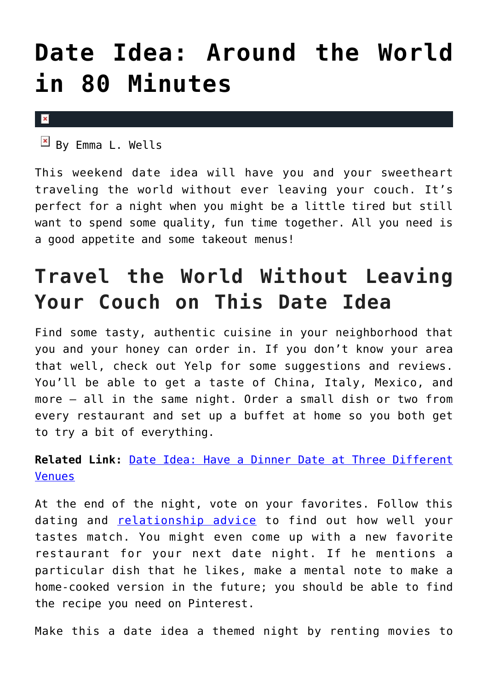## **[Date Idea: Around the World](https://cupidspulse.com/89161/date-idea-around-the-world-in-80-minutes/) [in 80 Minutes](https://cupidspulse.com/89161/date-idea-around-the-world-in-80-minutes/)**

 $\vert \mathbf{x} \vert$ 

 $\overline{B}$  By Emma L. Wells

This weekend date idea will have you and your sweetheart traveling the world without ever leaving your couch. It's perfect for a night when you might be a little tired but still want to spend some quality, fun time together. All you need is a good appetite and some takeout menus!

## **Travel the World Without Leaving Your Couch on This Date Idea**

Find some tasty, authentic cuisine in your neighborhood that you and your honey can order in. If you don't know your area that well, check out Yelp for some suggestions and reviews. You'll be able to get a taste of China, Italy, Mexico, and more — all in the same night. Order a small dish or two from every restaurant and set up a buffet at home so you both get to try a bit of everything.

**Related Link:** [Date Idea: Have a Dinner Date at Three Different](http://cupidspulse.com/28736/date-idea-dinner-date-three-different-restaurant-venues/) [Venues](http://cupidspulse.com/28736/date-idea-dinner-date-three-different-restaurant-venues/)

At the end of the night, vote on your favorites. Follow this dating and **[relationship advice](http://cupidspulse.com/relationship-dating-experts/david-wygant-dating-coach/)** to find out how well your tastes match. You might even come up with a new favorite restaurant for your next date night. If he mentions a particular dish that he likes, make a mental note to make a home-cooked version in the future; you should be able to find the recipe you need on Pinterest.

Make this a date idea a themed night by renting movies to